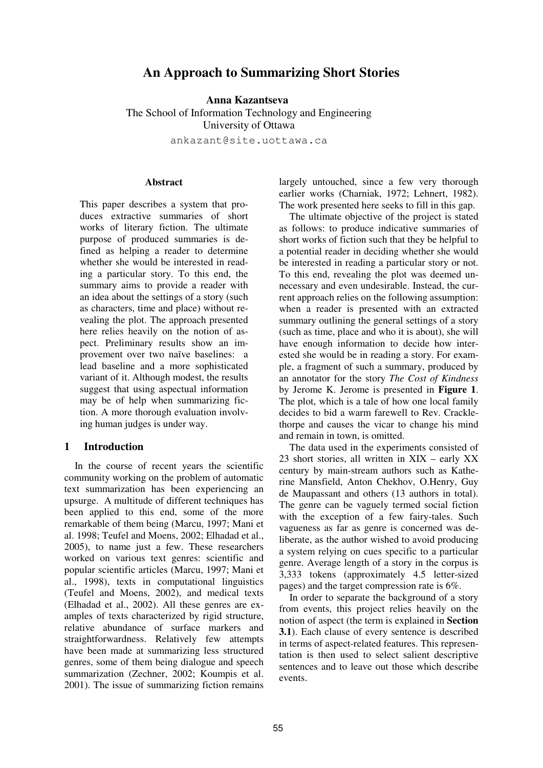# **An Approach to Summarizing Short Stories**

**Anna Kazantseva** The School of Information Technology and Engineering University of Ottawa

ankazant@site.uottawa.ca

#### **Abstract**

This paper describes a system that produces extractive summaries of short works of literary fiction. The ultimate purpose of produced summaries is defined as helping a reader to determine whether she would be interested in reading a particular story. To this end, the summary aims to provide a reader with an idea about the settings of a story (such as characters, time and place) without revealing the plot. The approach presented here relies heavily on the notion of aspect. Preliminary results show an improvement over two naïve baselines: a lead baseline and a more sophisticated variant of it. Although modest, the results suggest that using aspectual information may be of help when summarizing fiction. A more thorough evaluation involving human judges is under way.

#### **1 Introduction**

In the course of recent years the scientific community working on the problem of automatic text summarization has been experiencing an upsurge. A multitude of different techniques has been applied to this end, some of the more remarkable of them being (Marcu, 1997; Mani et al. 1998; Teufel and Moens, 2002; Elhadad et al., 2005), to name just a few. These researchers worked on various text genres: scientific and popular scientific articles (Marcu, 1997; Mani et al., 1998), texts in computational linguistics (Teufel and Moens, 2002), and medical texts (Elhadad et al., 2002). All these genres are examples of texts characterized by rigid structure, relative abundance of surface markers and straightforwardness. Relatively few attempts have been made at summarizing less structured genres, some of them being dialogue and speech summarization (Zechner, 2002; Koumpis et al. 2001). The issue of summarizing fiction remains largely untouched, since a few very thorough earlier works (Charniak, 1972; Lehnert, 1982). The work presented here seeks to fill in this gap.

The ultimate objective of the project is stated as follows: to produce indicative summaries of short works of fiction such that they be helpful to a potential reader in deciding whether she would be interested in reading a particular story or not. To this end, revealing the plot was deemed unnecessary and even undesirable. Instead, the current approach relies on the following assumption: when a reader is presented with an extracted summary outlining the general settings of a story (such as time, place and who it is about), she will have enough information to decide how interested she would be in reading a story. For example, a fragment of such a summary, produced by an annotator for the story *The Cost of Kindness* by Jerome K. Jerome is presented in **Figure 1**. The plot, which is a tale of how one local family decides to bid a warm farewell to Rev. Cracklethorpe and causes the vicar to change his mind and remain in town, is omitted.

The data used in the experiments consisted of 23 short stories, all written in XIX – early XX century by main-stream authors such as Katherine Mansfield, Anton Chekhov, O.Henry, Guy de Maupassant and others (13 authors in total). The genre can be vaguely termed social fiction with the exception of a few fairy-tales. Such vagueness as far as genre is concerned was deliberate, as the author wished to avoid producing a system relying on cues specific to a particular genre. Average length of a story in the corpus is 3,333 tokens (approximately 4.5 letter-sized pages) and the target compression rate is 6%.

In order to separate the background of a story from events, this project relies heavily on the notion of aspect (the term is explained in **Section 3.1**). Each clause of every sentence is described in terms of aspect-related features. This representation is then used to select salient descriptive sentences and to leave out those which describe events.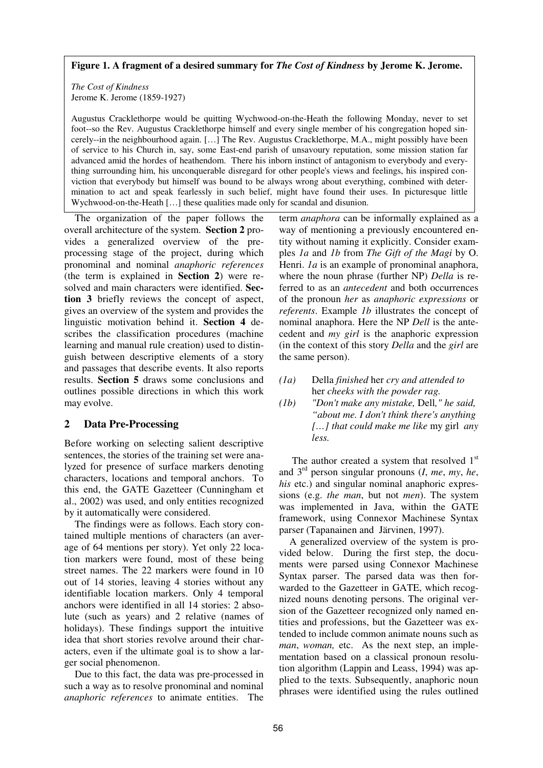#### **Figure 1. A fragment of a desired summary for** *The Cost of Kindness* **by Jerome K. Jerome.**

*The Cost of Kindness* Jerome K. Jerome (1859-1927)

Augustus Cracklethorpe would be quitting Wychwood-on-the-Heath the following Monday, never to set foot--so the Rev. Augustus Cracklethorpe himself and every single member of his congregation hoped sincerely--in the neighbourhood again. […] The Rev. Augustus Cracklethorpe, M.A., might possibly have been of service to his Church in, say, some East-end parish of unsavoury reputation, some mission station far advanced amid the hordes of heathendom. There his inborn instinct of antagonism to everybody and everything surrounding him, his unconquerable disregard for other people's views and feelings, his inspired conviction that everybody but himself was bound to be always wrong about everything, combined with determination to act and speak fearlessly in such belief, might have found their uses. In picturesque little Wychwood-on-the-Heath [...] these qualities made only for scandal and disunion.

The organization of the paper follows the overall architecture of the system. **Section 2** provides a generalized overview of the preprocessing stage of the project, during which pronominal and nominal *anaphoric references* (the term is explained in **Section 2**) were resolved and main characters were identified. **Section 3** briefly reviews the concept of aspect, gives an overview of the system and provides the linguistic motivation behind it. **Section 4** describes the classification procedures (machine learning and manual rule creation) used to distinguish between descriptive elements of a story and passages that describe events. It also reports results. **Section 5** draws some conclusions and outlines possible directions in which this work may evolve.

### **2 Data Pre-Processing**

Before working on selecting salient descriptive sentences, the stories of the training set were analyzed for presence of surface markers denoting characters, locations and temporal anchors. To this end, the GATE Gazetteer (Cunningham et al., 2002) was used, and only entities recognized by it automatically were considered.

The findings were as follows. Each story contained multiple mentions of characters (an average of 64 mentions per story). Yet only 22 location markers were found, most of these being street names. The 22 markers were found in 10 out of 14 stories, leaving 4 stories without any identifiable location markers. Only 4 temporal anchors were identified in all 14 stories: 2 absolute (such as years) and 2 relative (names of holidays). These findings support the intuitive idea that short stories revolve around their characters, even if the ultimate goal is to show a larger social phenomenon.

Due to this fact, the data was pre-processed in such a way as to resolve pronominal and nominal *anaphoric references* to animate entities. The

term *anaphora* can be informally explained as a way of mentioning a previously encountered entity without naming it explicitly. Consider examples *1a* and *1b* from *The Gift of the Magi* by O. Henri. *1a* is an example of pronominal anaphora, where the noun phrase (further NP) *Della* is referred to as an *antecedent* and both occurrences of the pronoun *her* as *anaphoric expressions* or *referents*. Example *1b* illustrates the concept of nominal anaphora. Here the NP *Dell* is the antecedent and *my girl* is the anaphoric expression (in the context of this story *Della* and the *girl* are the same person).

- *(1a)* Della *finished* her *cry and attended to* her *cheeks with the powder rag.*
- *(1b) "Don't make any mistake,* Dell*," he said, "about me. I don't think there's anything […] that could make me like* my girl *any less.*

The author created a system that resolved  $1<sup>st</sup>$ and 3rd person singular pronouns (*I*, *me*, *my*, *he*, *his* etc.) and singular nominal anaphoric expressions (e.g. *the man*, but not *men*). The system was implemented in Java, within the GATE framework, using Connexor Machinese Syntax parser (Tapanainen and Järvinen, 1997).

A generalized overview of the system is provided below. During the first step, the documents were parsed using Connexor Machinese Syntax parser. The parsed data was then forwarded to the Gazetteer in GATE, which recognized nouns denoting persons. The original version of the Gazetteer recognized only named entities and professions, but the Gazetteer was extended to include common animate nouns such as *man*, *woman,* etc. As the next step, an implementation based on a classical pronoun resolution algorithm (Lappin and Leass, 1994) was applied to the texts. Subsequently, anaphoric noun phrases were identified using the rules outlined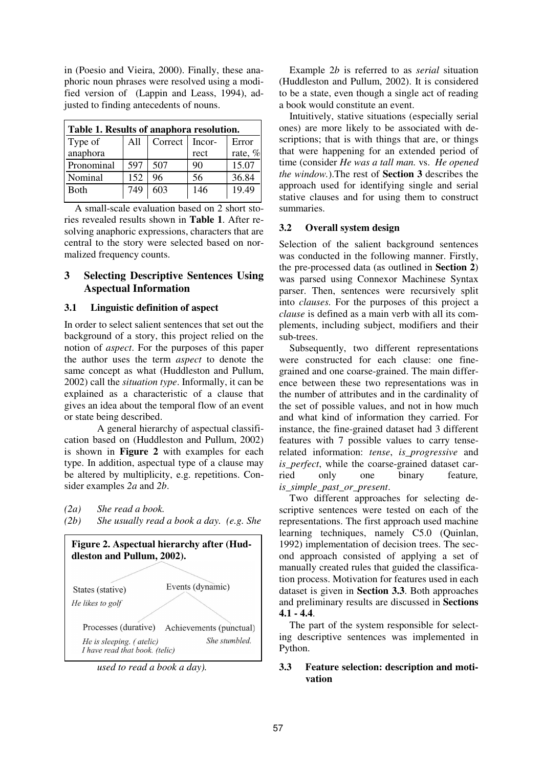in (Poesio and Vieira, 2000). Finally, these anaphoric noun phrases were resolved using a modified version of (Lappin and Leass, 1994), adjusted to finding antecedents of nouns.

| Table 1. Results of anaphora resolution. |     |         |        |         |  |  |
|------------------------------------------|-----|---------|--------|---------|--|--|
| Type of                                  | A11 | Correct | Incor- | Error   |  |  |
| anaphora                                 |     |         | rect   | rate, % |  |  |
| Pronominal                               | 597 | 507     | 90     | 15.07   |  |  |
| Nominal                                  | 152 | 96      | 56     | 36.84   |  |  |
| Both                                     | 749 | 603     | 146    | 19.49   |  |  |
|                                          |     |         |        |         |  |  |

A small-scale evaluation based on 2 short stories revealed results shown in **Table 1**. After resolving anaphoric expressions, characters that are central to the story were selected based on normalized frequency counts.

## **3 Selecting Descriptive Sentences Using Aspectual Information**

## **3.1 Linguistic definition of aspect**

In order to select salient sentences that set out the background of a story, this project relied on the notion of *aspect*. For the purposes of this paper the author uses the term *aspect* to denote the same concept as what (Huddleston and Pullum, 2002) call the *situation type*. Informally, it can be explained as a characteristic of a clause that gives an idea about the temporal flow of an event or state being described.

A general hierarchy of aspectual classification based on (Huddleston and Pullum, 2002) is shown in **Figure 2** with examples for each type. In addition, aspectual type of a clause may be altered by multiplicity, e.g. repetitions. Consider examples *2a* and *2b*.

*(2a) She read a book.*

*(2b) She usually read a book a day. (e.g. She*



*used to read a book a day).*

Example 2*b* is referred to as *serial* situation (Huddleston and Pullum, 2002). It is considered to be a state, even though a single act of reading a book would constitute an event.

Intuitively, stative situations (especially serial ones) are more likely to be associated with descriptions; that is with things that are, or things that were happening for an extended period of time (consider *He was a tall man.* vs. *He opened the window.*).The rest of **Section 3** describes the approach used for identifying single and serial stative clauses and for using them to construct summaries.

## **3.2 Overall system design**

Selection of the salient background sentences was conducted in the following manner. Firstly, the pre-processed data (as outlined in **Section 2**) was parsed using Connexor Machinese Syntax parser. Then, sentences were recursively split into *clauses.* For the purposes of this project a *clause* is defined as a main verb with all its complements, including subject, modifiers and their sub-trees.

Subsequently, two different representations were constructed for each clause: one finegrained and one coarse-grained. The main difference between these two representations was in the number of attributes and in the cardinality of the set of possible values, and not in how much and what kind of information they carried. For instance, the fine-grained dataset had 3 different features with 7 possible values to carry tenserelated information: *tense*, *is\_progressive* and *is\_perfect*, while the coarse-grained dataset carried only one binary feature*, is\_simple\_past\_or\_present*.

Two different approaches for selecting descriptive sentences were tested on each of the representations. The first approach used machine learning techniques, namely C5.0 (Quinlan, 1992) implementation of decision trees. The second approach consisted of applying a set of manually created rules that guided the classification process. Motivation for features used in each dataset is given in **Section 3.3**. Both approaches and preliminary results are discussed in **Sections 4.1 - 4.4**.

The part of the system responsible for selecting descriptive sentences was implemented in Python.

### **3.3 Feature selection: description and motivation**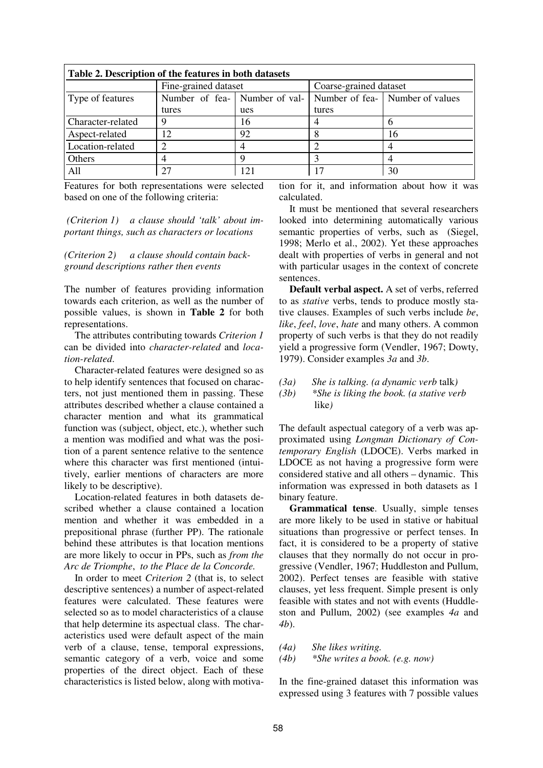| Table 2. Description of the features in both datasets |                               |                 |                        |                                 |  |  |  |
|-------------------------------------------------------|-------------------------------|-----------------|------------------------|---------------------------------|--|--|--|
|                                                       | Fine-grained dataset          |                 | Coarse-grained dataset |                                 |  |  |  |
| Type of features                                      | Number of fea- Number of val- |                 |                        | Number of fea- Number of values |  |  |  |
|                                                       | tures                         | ues             | tures                  |                                 |  |  |  |
| Character-related                                     |                               | 16              |                        |                                 |  |  |  |
| Aspect-related                                        |                               | 92              |                        | 16                              |  |  |  |
| Location-related                                      |                               |                 |                        |                                 |  |  |  |
| Others                                                |                               |                 |                        |                                 |  |  |  |
| All                                                   | 27                            | 12 <sup>1</sup> | 17                     | 30                              |  |  |  |

Features for both representations were selected based on one of the following criteria:

*(Criterion 1) a clause should 'talk' about important things, such as characters or locations*

*(Criterion 2) a clause should contain background descriptions rather then events*

The number of features providing information towards each criterion, as well as the number of possible values, is shown in **Table 2** for both representations.

The attributes contributing towards *Criterion 1* can be divided into *character-related* and *location-related*.

Character-related features were designed so as to help identify sentences that focused on characters, not just mentioned them in passing. These attributes described whether a clause contained a character mention and what its grammatical function was (subject, object, etc.), whether such a mention was modified and what was the position of a parent sentence relative to the sentence where this character was first mentioned (intuitively, earlier mentions of characters are more likely to be descriptive).

Location-related features in both datasets described whether a clause contained a location mention and whether it was embedded in a prepositional phrase (further PP). The rationale behind these attributes is that location mentions are more likely to occur in PPs, such as *from the Arc de Triomphe*, *to the Place de la Concorde.*

In order to meet *Criterion 2* (that is, to select descriptive sentences) a number of aspect-related features were calculated. These features were selected so as to model characteristics of a clause that help determine its aspectual class. The characteristics used were default aspect of the main verb of a clause, tense, temporal expressions, semantic category of a verb, voice and some properties of the direct object. Each of these characteristics is listed below, along with motivation for it, and information about how it was calculated.

It must be mentioned that several researchers looked into determining automatically various semantic properties of verbs, such as (Siegel, 1998; Merlo et al., 2002). Yet these approaches dealt with properties of verbs in general and not with particular usages in the context of concrete sentences.

**Default verbal aspect.** A set of verbs, referred to as *stative* verbs, tends to produce mostly stative clauses. Examples of such verbs include *be*, *like*, *feel*, *love*, *hate* and many others. A common property of such verbs is that they do not readily yield a progressive form (Vendler, 1967; Dowty, 1979). Consider examples *3a* and *3b*.

- *(3a) She is talking. (a dynamic verb* talk*)*
- *(3b) \*She is liking the book. (a stative verb* like*)*

The default aspectual category of a verb was approximated using *Longman Dictionary of Contemporary English* (LDOCE). Verbs marked in LDOCE as not having a progressive form were considered stative and all others – dynamic. This information was expressed in both datasets as 1 binary feature.

**Grammatical tense**. Usually, simple tenses are more likely to be used in stative or habitual situations than progressive or perfect tenses. In fact, it is considered to be a property of stative clauses that they normally do not occur in progressive (Vendler, 1967; Huddleston and Pullum, 2002). Perfect tenses are feasible with stative clauses, yet less frequent. Simple present is only feasible with states and not with events (Huddleston and Pullum, 2002) (see examples *4a* and *4b*).

*(4a) She likes writing.*

*(4b) \*She writes a book. (e.g. now)*

In the fine-grained dataset this information was expressed using 3 features with 7 possible values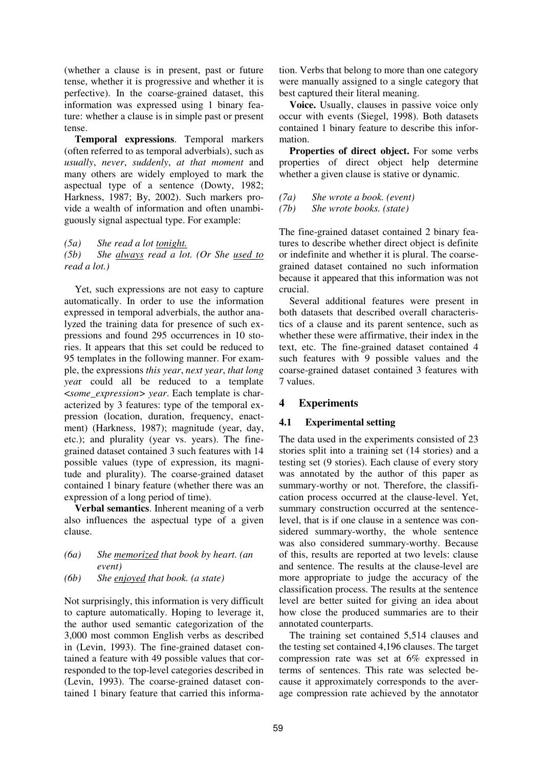(whether a clause is in present, past or future tense, whether it is progressive and whether it is perfective). In the coarse-grained dataset, this information was expressed using 1 binary feature: whether a clause is in simple past or present tense.

**Temporal expressions**. Temporal markers (often referred to as temporal adverbials), such as *usually*, *never*, *suddenly*, *at that moment* and many others are widely employed to mark the aspectual type of a sentence (Dowty, 1982; Harkness, 1987; By, 2002). Such markers provide a wealth of information and often unambiguously signal aspectual type. For example:

*(5a) She read a lot tonight.*

*(5b) She always read a lot. (Or She used to read a lot.)*

Yet, such expressions are not easy to capture automatically. In order to use the information expressed in temporal adverbials, the author analyzed the training data for presence of such expressions and found 295 occurrences in 10 stories. It appears that this set could be reduced to 95 templates in the following manner. For example, the expressions *this year*, *next year*, *that long yea*r could all be reduced to a template <*some\_expression> year*. Each template is characterized by 3 features: type of the temporal expression (location, duration, frequency, enactment) (Harkness, 1987); magnitude (year, day, etc.); and plurality (year vs. years). The finegrained dataset contained 3 such features with 14 possible values (type of expression, its magnitude and plurality). The coarse-grained dataset contained 1 binary feature (whether there was an expression of a long period of time).

**Verbal semantics**. Inherent meaning of a verb also influences the aspectual type of a given clause.

### *(6a) She memorized that book by heart. (an event)*

*(6b) She enjoyed that book. (a state)*

Not surprisingly, this information is very difficult to capture automatically. Hoping to leverage it, the author used semantic categorization of the 3,000 most common English verbs as described in (Levin, 1993). The fine-grained dataset contained a feature with 49 possible values that corresponded to the top-level categories described in (Levin, 1993). The coarse-grained dataset contained 1 binary feature that carried this information. Verbs that belong to more than one category were manually assigned to a single category that best captured their literal meaning.

**Voice.** Usually, clauses in passive voice only occur with events (Siegel, 1998). Both datasets contained 1 binary feature to describe this information.

**Properties of direct object.** For some verbs properties of direct object help determine whether a given clause is stative or dynamic.

- *(7a) She wrote a book. (event)*
- *(7b) She wrote books. (state)*

The fine-grained dataset contained 2 binary features to describe whether direct object is definite or indefinite and whether it is plural. The coarsegrained dataset contained no such information because it appeared that this information was not crucial.

Several additional features were present in both datasets that described overall characteristics of a clause and its parent sentence, such as whether these were affirmative, their index in the text, etc. The fine-grained dataset contained 4 such features with 9 possible values and the coarse-grained dataset contained 3 features with 7 values.

## **4 Experiments**

### **4.1 Experimental setting**

The data used in the experiments consisted of 23 stories split into a training set (14 stories) and a testing set (9 stories). Each clause of every story was annotated by the author of this paper as summary-worthy or not. Therefore, the classification process occurred at the clause-level. Yet, summary construction occurred at the sentencelevel, that is if one clause in a sentence was considered summary-worthy, the whole sentence was also considered summary-worthy. Because of this, results are reported at two levels: clause and sentence. The results at the clause-level are more appropriate to judge the accuracy of the classification process. The results at the sentence level are better suited for giving an idea about how close the produced summaries are to their annotated counterparts.

The training set contained 5,514 clauses and the testing set contained 4,196 clauses. The target compression rate was set at 6% expressed in terms of sentences. This rate was selected because it approximately corresponds to the average compression rate achieved by the annotator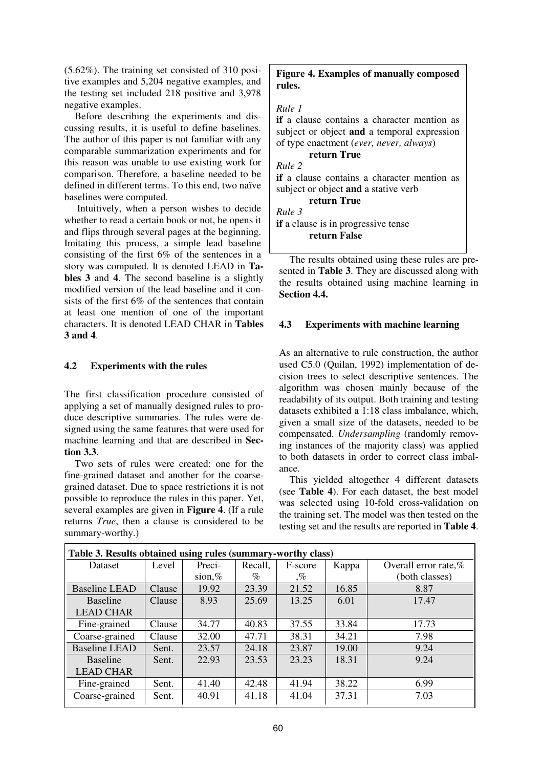(5.62%). The training set consisted of 310 positive examples and 5,204 negative examples, and the testing set included 218 positive and 3,978 negative examples.

Before describing the experiments and discussing results, it is useful to define baselines. The author of this paper is not familiar with any comparable summarization experiments and for this reason was unable to use existing work for comparison. Therefore, a baseline needed to be defined in different terms. To this end, two naïve baselines were computed.

Intuitively, when a person wishes to decide whether to read a certain book or not, he opens it and flips through several pages at the beginning. Imitating this process, a simple lead baseline consisting of the first 6% of the sentences in a story was computed. It is denoted LEAD in **Tables 3** and **4**. The second baseline is a slightly modified version of the lead baseline and it consists of the first 6% of the sentences that contain at least one mention of one of the important characters. It is denoted LEAD CHAR in **Tables 3 and 4**.

#### **4.2 Experiments with the rules**

The first classification procedure consisted of applying a set of manually designed rules to produce descriptive summaries. The rules were designed using the same features that were used for machine learning and that are described in **Section 3.3**.

Two sets of rules were created: one for the fine-grained dataset and another for the coarsegrained dataset. Due to space restrictions it is not possible to reproduce the rules in this paper. Yet, several examples are given in **Figure 4**. (If a rule returns *True*, then a clause is considered to be summary-worthy.)

## **Figure 4. Examples of manually composed rules.**

#### *Rule 1*

**if** a clause contains a character mention as subject or object **and** a temporal expression of type enactment (*ever, never, always*)

# **return True**

*Rule 2*

**if** a clause contains a character mention as subject or object **and** a stative verb

# **return True**

*Rule 3*

**if** a clause is in progressive tense **return False**

The results obtained using these rules are presented in **Table 3**. They are discussed along with the results obtained using machine learning in **Section 4.4.**

#### **4.3 Experiments with machine learning**

As an alternative to rule construction, the author used C5.0 (Quilan, 1992) implementation of decision trees to select descriptive sentences. The algorithm was chosen mainly because of the readability of its output. Both training and testing datasets exhibited a 1:18 class imbalance, which, given a small size of the datasets, needed to be compensated. *Undersampling* (randomly removing instances of the majority class) was applied to both datasets in order to correct class imbalance.

This yielded altogether 4 different datasets (see **Table 4**). For each dataset, the best model was selected using 10-fold cross-validation on the training set. The model was then tested on the testing set and the results are reported in **Table 4**.

| Table 3. Results obtained using rules (summary-worthy class) |        |           |         |                        |       |                      |
|--------------------------------------------------------------|--------|-----------|---------|------------------------|-------|----------------------|
| Dataset                                                      | Level  | Preci-    | Recall, | F-score                | Kappa | Overall error rate,% |
|                                                              |        | sion, $%$ | $\%$    | $\mathcal{C}_{\alpha}$ |       | (both classes)       |
| <b>Baseline LEAD</b>                                         | Clause | 19.92     | 23.39   | 21.52                  | 16.85 | 8.87                 |
| <b>Baseline</b>                                              | Clause | 8.93      | 25.69   | 13.25                  | 6.01  | 17.47                |
| <b>LEAD CHAR</b>                                             |        |           |         |                        |       |                      |
| Fine-grained                                                 | Clause | 34.77     | 40.83   | 37.55                  | 33.84 | 17.73                |
| Coarse-grained                                               | Clause | 32.00     | 47.71   | 38.31                  | 34.21 | 7.98                 |
| <b>Baseline LEAD</b>                                         | Sent.  | 23.57     | 24.18   | 23.87                  | 19.00 | 9.24                 |
| <b>Baseline</b>                                              | Sent.  | 22.93     | 23.53   | 23.23                  | 18.31 | 9.24                 |
| <b>LEAD CHAR</b>                                             |        |           |         |                        |       |                      |
| Fine-grained                                                 | Sent.  | 41.40     | 42.48   | 41.94                  | 38.22 | 6.99                 |
| Coarse-grained                                               | Sent.  | 40.91     | 41.18   | 41.04                  | 37.31 | 7.03                 |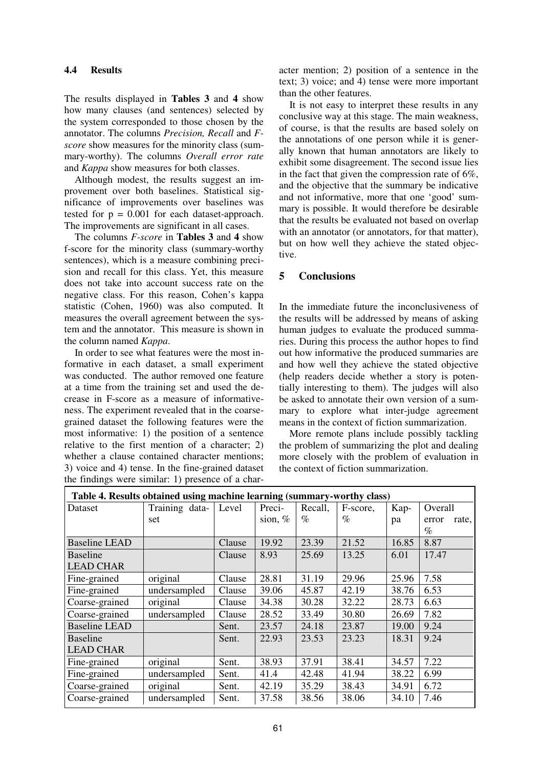### **4.4 Results**

The results displayed in **Tables 3** and **4** show how many clauses (and sentences) selected by the system corresponded to those chosen by the annotator. The columns *Precision, Recall* and *Fscore* show measures for the minority class (summary-worthy). The columns *Overall error rate* and *Kappa* show measures for both classes.

Although modest, the results suggest an improvement over both baselines. Statistical significance of improvements over baselines was tested for  $p = 0.001$  for each dataset-approach. The improvements are significant in all cases.

The columns *F-score* in **Tables 3** and **4** show f-score for the minority class (summary-worthy sentences), which is a measure combining precision and recall for this class. Yet, this measure does not take into account success rate on the negative class. For this reason, Cohen's kappa statistic (Cohen, 1960) was also computed. It measures the overall agreement between the system and the annotator. This measure is shown in the column named *Kappa*.

In order to see what features were the most informative in each dataset, a small experiment was conducted. The author removed one feature at a time from the training set and used the decrease in F-score as a measure of informativeness. The experiment revealed that in the coarsegrained dataset the following features were the most informative: 1) the position of a sentence relative to the first mention of a character; 2) whether a clause contained character mentions; 3) voice and 4) tense. In the fine-grained dataset the findings were similar: 1) presence of a character mention; 2) position of a sentence in the text; 3) voice; and 4) tense were more important than the other features.

It is not easy to interpret these results in any conclusive way at this stage. The main weakness, of course, is that the results are based solely on the annotations of one person while it is generally known that human annotators are likely to exhibit some disagreement. The second issue lies in the fact that given the compression rate of 6%, and the objective that the summary be indicative and not informative, more that one 'good' summary is possible. It would therefore be desirable that the results be evaluated not based on overlap with an annotator (or annotators, for that matter), but on how well they achieve the stated objective.

## **5 Conclusions**

In the immediate future the inconclusiveness of the results will be addressed by means of asking human judges to evaluate the produced summaries. During this process the author hopes to find out how informative the produced summaries are and how well they achieve the stated objective (help readers decide whether a story is potentially interesting to them). The judges will also be asked to annotate their own version of a summary to explore what inter-judge agreement means in the context of fiction summarization.

More remote plans include possibly tackling the problem of summarizing the plot and dealing more closely with the problem of evaluation in the context of fiction summarization.

| Table 4. Results obtained using machine learning (summary-worthy class) |                |        |           |         |          |       |                |
|-------------------------------------------------------------------------|----------------|--------|-----------|---------|----------|-------|----------------|
| Dataset                                                                 | Training data- | Level  | Preci-    | Recall, | F-score, | Kap-  | Overall        |
|                                                                         | set            |        | sion, $%$ | $\%$    | $\%$     | pa    | rate,<br>error |
|                                                                         |                |        |           |         |          |       | $\%$           |
| <b>Baseline LEAD</b>                                                    |                | Clause | 19.92     | 23.39   | 21.52    | 16.85 | 8.87           |
| <b>Baseline</b>                                                         |                | Clause | 8.93      | 25.69   | 13.25    | 6.01  | 17.47          |
| <b>LEAD CHAR</b>                                                        |                |        |           |         |          |       |                |
| Fine-grained                                                            | original       | Clause | 28.81     | 31.19   | 29.96    | 25.96 | 7.58           |
| Fine-grained                                                            | undersampled   | Clause | 39.06     | 45.87   | 42.19    | 38.76 | 6.53           |
| Coarse-grained                                                          | original       | Clause | 34.38     | 30.28   | 32.22    | 28.73 | 6.63           |
| Coarse-grained                                                          | undersampled   | Clause | 28.52     | 33.49   | 30.80    | 26.69 | 7.82           |
| <b>Baseline LEAD</b>                                                    |                | Sent.  | 23.57     | 24.18   | 23.87    | 19.00 | 9.24           |
| <b>Baseline</b>                                                         |                | Sent.  | 22.93     | 23.53   | 23.23    | 18.31 | 9.24           |
| <b>LEAD CHAR</b>                                                        |                |        |           |         |          |       |                |
| Fine-grained                                                            | original       | Sent.  | 38.93     | 37.91   | 38.41    | 34.57 | 7.22           |
| Fine-grained                                                            | undersampled   | Sent.  | 41.4      | 42.48   | 41.94    | 38.22 | 6.99           |
| Coarse-grained                                                          | original       | Sent.  | 42.19     | 35.29   | 38.43    | 34.91 | 6.72           |
| Coarse-grained                                                          | undersampled   | Sent.  | 37.58     | 38.56   | 38.06    | 34.10 | 7.46           |